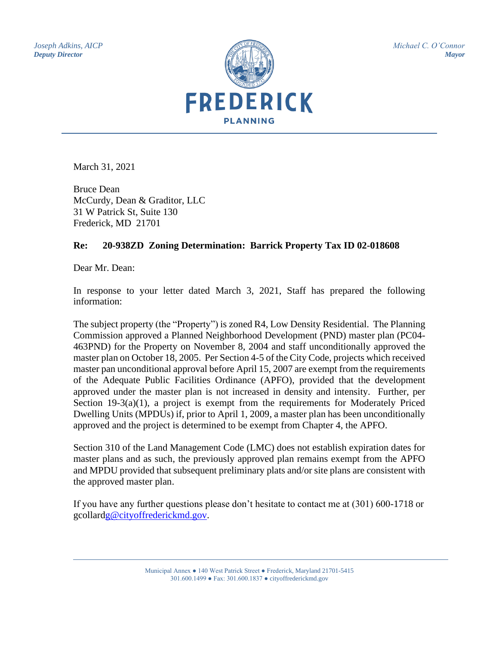*Joseph Adkins, AICP Deputy Director*



*Michael C. O'Connor Mayor*

March 31, 2021

Bruce Dean McCurdy, Dean & Graditor, LLC 31 W Patrick St, Suite 130 Frederick, MD 21701

## **Re: 20-938ZD Zoning Determination: Barrick Property Tax ID 02-018608**

Dear Mr. Dean:

In response to your letter dated March 3, 2021, Staff has prepared the following information:

The subject property (the "Property") is zoned R4, Low Density Residential. The Planning Commission approved a Planned Neighborhood Development (PND) master plan (PC04- 463PND) for the Property on November 8, 2004 and staff unconditionally approved the master plan on October 18, 2005. Per Section 4-5 of the City Code, projects which received master pan unconditional approval before April 15, 2007 are exempt from the requirements of the Adequate Public Facilities Ordinance (APFO), provided that the development approved under the master plan is not increased in density and intensity. Further, per Section 19-3(a)(1), a project is exempt from the requirements for Moderately Priced Dwelling Units (MPDUs) if, prior to April 1, 2009, a master plan has been unconditionally approved and the project is determined to be exempt from Chapter 4, the APFO.

Section 310 of the Land Management Code (LMC) does not establish expiration dates for master plans and as such, the previously approved plan remains exempt from the APFO and MPDU provided that subsequent preliminary plats and/or site plans are consistent with the approved master plan.

If you have any further questions please don't hesitate to contact me at (301) 600-1718 or gcollar[dg@cityoffrederickmd.gov.](mailto:preppert@cityoffrederickmd.gov)

> Municipal Annex ● 140 West Patrick Street ● Frederick, Maryland 21701-5415 301.600.1499 ● Fax: 301.600.1837 ● cityoffrederickmd.gov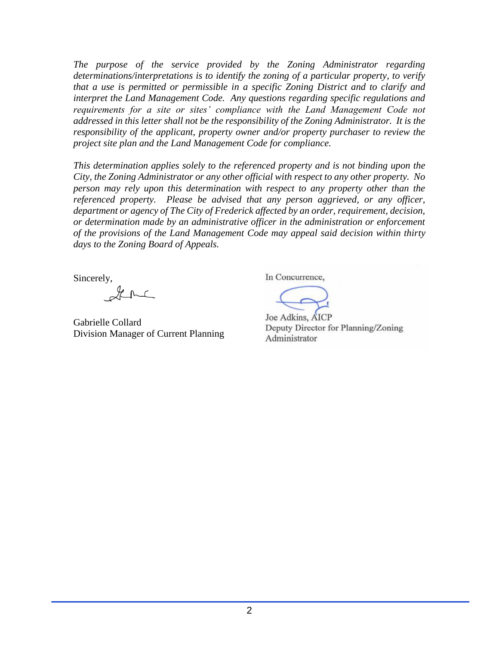*The purpose of the service provided by the Zoning Administrator regarding determinations/interpretations is to identify the zoning of a particular property, to verify that a use is permitted or permissible in a specific Zoning District and to clarify and interpret the Land Management Code. Any questions regarding specific regulations and requirements for a site or sites' compliance with the Land Management Code not addressed in this letter shall not be the responsibility of the Zoning Administrator. It is the responsibility of the applicant, property owner and/or property purchaser to review the project site plan and the Land Management Code for compliance.* 

*This determination applies solely to the referenced property and is not binding upon the City, the Zoning Administrator or any other official with respect to any other property. No person may rely upon this determination with respect to any property other than the referenced property. Please be advised that any person aggrieved, or any officer, department or agency of The City of Frederick affected by an order, requirement, decision, or determination made by an administrative officer in the administration or enforcement of the provisions of the Land Management Code may appeal said decision within thirty days to the Zoning Board of Appeals.*

Sincerely,

Gabrielle Collard Division Manager of Current Planning

In Concurrence,

Joe Adkins, AICP Deputy Director for Planning/Zoning Administrator